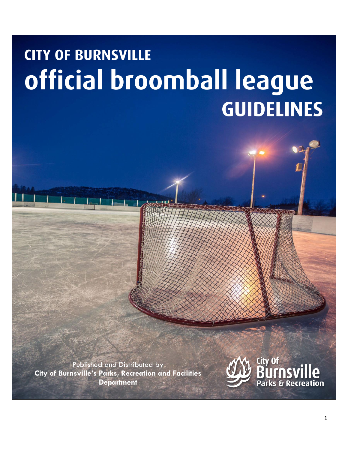# **CITY OF BURNSVILLE** official broomball league **GUIDELINES**

Published and Distributed by **City of Burnsville's Parks, Recreation and Facilities Department**

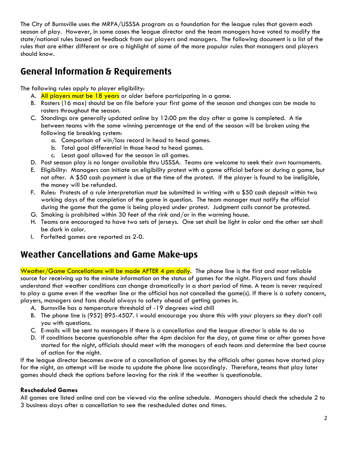The City of Burnsville uses the MRPA/USSSA program as a foundation for the league rules that govern each season of play. However, in some cases the league director and the team managers have voted to modify the state/national rules based on feedback from our players and managers. The following document is a list of the rules that are either different or are a highlight of some of the more popular rules that managers and players should know.

## **General Information & Requirements**

The following rules apply to player eligibility:

- A. All players must be 18 years or older before participating in a game.
- B. Rosters (16 max) should be on file before your first game of the season and changes can be made to rosters throughout the season.
- C. Standings are generally updated online by 12:00 pm the day after a game is completed. A tie between teams with the same winning percentage at the end of the season will be broken using the following tie breaking system:
	- a. Comparison of win/loss record in head to head games.
	- b. Total goal differential in those head to head games.
	- c. Least goal allowed for the season in all games.
- D. Post season play is no longer available thru USSSA. Teams are welcome to seek their own tournaments.
- E. Eligibility: Managers can initiate an eligibility protest with a game official before or during a game, but not after. A \$50 cash payment is due at the time of the protest. If the player is found to be ineligible, the money will be refunded.
- F. Rules: Protests of a rule interpretation must be submitted in writing with a \$50 cash deposit within two working days of the completion of the game in question. The team manager must notify the official during the game that the game is being played under protest. Judgment calls cannot be protested.
- G. Smoking is prohibited within 30 feet of the rink and/or in the warming house.
- H. Teams are encouraged to have two sets of jerseys. One set shall be light in color and the other set shall be dark in color.
- I. Forfeited games are reported as 2-0.

#### **Weather Cancellations and Game Make-ups**

Weather/Game Cancellations will be made AFTER 4 pm daily. The phone line is the first and most reliable source for receiving up to the minute information on the status of games for the night. Players and fans should understand that weather conditions can change dramatically in a short period of time. A team is never required to play a game even if the weather line or the official has not cancelled the game(s). If there is a safety concern, players, managers and fans should always to safety ahead of getting games in.

- A. Burnsville has a temperature threshold of -19 degrees wind chill
- B. The phone line is (952) 895-4507. I would encourage you share this with your players so they don't call you with questions.
- C. E-mails will be sent to managers if there is a cancellation and the league director is able to do so
- D. If conditions become questionable after the 4pm decision for the day, at game time or after games have started for the night, officials should meet with the managers of each team and determine the best course of action for the night.

If the league director becomes aware of a cancellation of games by the officials after games have started play for the night, an attempt will be made to update the phone line accordingly. Therefore, teams that play later games should check the options before leaving for the rink if the weather is questionable.

#### **Rescheduled Games**

All games are listed online and can be viewed via the online schedule. Managers should check the schedule 2 to 3 business days after a cancellation to see the rescheduled dates and times.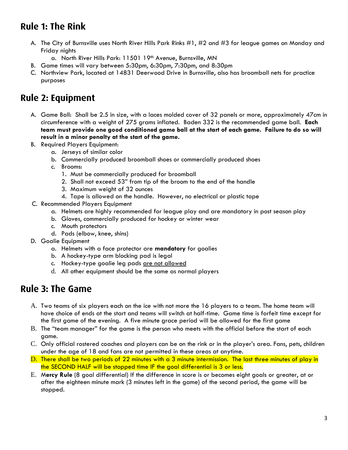## **Rule 1: The Rink**

- A. The City of Burnsville uses North River Hills Park Rinks #1, #2 and #3 for league games on Monday and Friday nights
	- a. North River Hills Park: 11501 19th Avenue, Burnsville, MN
- B. Game times will vary between 5:30pm, 6:30pm, 7:30pm, and 8:30pm
- C. Northview Park, located at 14831 Deerwood Drive in Burnsville, also has broomball nets for practice purposes

# **Rule 2: Equipment**

- A. Game Ball: Shall be 2.5 in size, with a laces molded cover of 32 panels or more, approximately 47cm in circumference with a weight of 275 grams inflated. Baden 332 is the recommended game ball. **Each team must provide one good conditioned game ball at the start of each game. Failure to do so will result in a minor penalty at the start of the game.**
- B. Required Players Equipment:
	- a. Jerseys of similar color
	- b. Commercially produced broomball shoes or commercially produced shoes
	- c. Brooms:
		- 1. Must be commercially produced for broomball
		- 2. Shall not exceed 53" from tip of the broom to the end of the handle
		- 3. Maximum weight of 32 ounces
		- 4. Tape is allowed on the handle. However, no electrical or plastic tape
- C. Recommended Players Equipment
	- a. Helmets are highly recommended for league play and are mandatory in post season play
	- b. Gloves, commercially produced for hockey or winter wear
	- c. Mouth protectors
	- d. Pads (elbow, knee, shins)
- D. Goalie Equipment
	- a. Helmets with a face protector are **mandatory** for goalies
	- b. A hockey-type arm blocking pad is legal
	- c. Hockey-type goalie leg pads are not allowed
	- d. All other equipment should be the same as normal players

#### **Rule 3: The Game**

- A. Two teams of six players each on the ice with not more the 16 players to a team. The home team will have choice of ends at the start and teams will switch at half-time. Game time is forfeit time except for the first game of the evening. A five minute grace period will be allowed for the first game
- B. The "team manager" for the game is the person who meets with the official before the start of each game.
- C. Only official rostered coaches and players can be on the rink or in the player's area. Fans, pets, children under the age of 18 and fans are not permitted in these areas at anytime.
- D. There shall be two periods of 22 minutes with a 3 minute intermission. The last three minutes of play in the SECOND HALF will be stopped time IF the goal differential is 3 or less.
- E. M**ercy Rule** (8 goal differential) If the difference in score is or becomes eight goals or greater, at or after the eighteen minute mark (3 minutes left in the game) of the second period, the game will be stopped.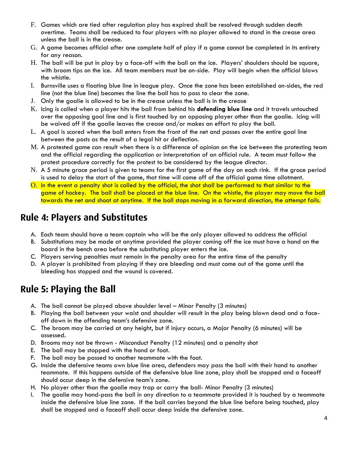- F. Games which are tied after regulation play has expired shall be resolved through sudden death overtime. Teams shall be reduced to four players with no player allowed to stand in the crease area unless the ball is in the crease.
- G. A game becomes official after one complete half of play if a game cannot be completed in its entirety for any reason.
- H. The ball will be put in play by a face-off with the ball on the ice. Players' shoulders should be square, with broom tips on the ice. All team members must be on-side. Play will begin when the official blows the whistle.
- I. Burnsville uses a floating blue line in league play. Once the zone has been established on-sides, the red line (not the blue line) becomes the line the ball has to pass to clear the zone.
- J. Only the goalie is allowed to be in the crease unless the ball is in the crease
- K. Icing is called when a player hits the ball from behind his **defending blue line** and it travels untouched over the opposing goal line and is first touched by an opposing player other than the goalie. Icing will be waived off if the goalie leaves the crease and/or makes an effort to play the ball.
- L. A goal is scored when the ball enters from the front of the net and passes over the entire goal line between the posts as the result of a legal hit or deflection.
- M. A protested game can result when there is a difference of opinion on the ice between the protesting team and the official regarding the application or interpretation of an official rule. A team must follow the protest procedure correctly for the protest to be considered by the league director.
- N. A 5 minute grace period is given to teams for the first game of the day on each rink. If the grace period is used to delay the start of the game, that time will come off of the official game time allotment.
- O. In the event a penalty shot is called by the official, the shot shall be performed to that similar to the game of hockey. The ball shall be placed at the blue line. On the whistle, the player may move the ball towards the net and shoot at anytime. If the ball stops moving in a forward direction, the attempt fails.

#### **Rule 4: Players and Substitutes**

- A. Each team should have a team captain who will be the only player allowed to address the official
- B. Substitutions may be made at anytime provided the player coming off the ice must have a hand on the board in the bench area before the substituting player enters the ice.
- C. Players serving penalties must remain in the penalty area for the entire time of the penalty
- D. A player is prohibited from playing if they are bleeding and must come out of the game until the bleeding has stopped and the wound is covered.

#### **Rule 5: Playing the Ball**

- A. The ball cannot be played above shoulder level Minor Penalty (3 minutes)
- B. Playing the ball between your waist and shoulder will result in the play being blown dead and a faceoff down in the offending team's defensive zone.
- C. The broom may be carried at any height, but if injury occurs, a Major Penalty (6 minutes) will be assessed.
- D. Brooms may not be thrown Misconduct Penalty (12 minutes) and a penalty shot
- E. The ball may be stopped with the hand or foot.
- F. The ball may be passed to another teammate with the foot.
- G. Inside the defensive teams own blue line area, defenders may pass the ball with their hand to another teammate. If this happens outside of the defensive blue line zone, play shall be stopped and a faceoff should occur deep in the defensive team's zone.
- H. No player other than the goalie may trap or carry the ball- Minor Penalty (3 minutes)
- I. The goalie may hand-pass the ball in any direction to a teammate provided it is touched by a teammate inside the defensive blue line zone. If the ball carries beyond the blue line before being touched, play shall be stopped and a faceoff shall occur deep inside the defensive zone.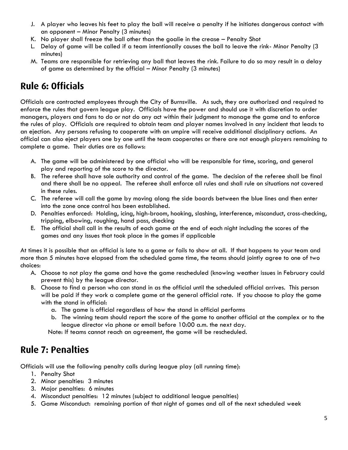- J. A player who leaves his feet to play the ball will receive a penalty if he initiates dangerous contact with an opponent – Minor Penalty (3 minutes)
- K. No player shall freeze the ball other than the goalie in the crease Penalty Shot
- L. Delay of game will be called if a team intentionally causes the ball to leave the rink- Minor Penalty (3 minutes)
- M. Teams are responsible for retrieving any ball that leaves the rink. Failure to do so may result in a delay of game as determined by the official – Minor Penalty (3 minutes)

## **Rule 6: Officials**

Officials are contracted employees through the City of Burnsville. As such, they are authorized and required to enforce the rules that govern league play. Officials have the power and should use it with discretion to order managers, players and fans to do or not do any act within their judgment to manage the game and to enforce the rules of play. Officials are required to obtain team and player names involved in any incident that leads to an ejection. Any persons refusing to cooperate with an umpire will receive additional disciplinary actions. An official can also eject players one by one until the team cooperates or there are not enough players remaining to complete a game. Their duties are as follows:

- A. The game will be administered by one official who will be responsible for time, scoring, and general play and reporting of the score to the director.
- B. The referee shall have sole authority and control of the game. The decision of the referee shall be final and there shall be no appeal. The referee shall enforce all rules and shall rule on situations not covered in these rules.
- C. The referee will call the game by moving along the side boards between the blue lines and then enter into the zone once control has been established.
- D. Penalties enforced: Holding, icing, high-broom, hooking, slashing, interference, misconduct, cross-checking, tripping, elbowing, roughing, hand pass, checking
- E. The official shall call in the results of each game at the end of each night including the scores of the games and any issues that took place in the games if applicable

At times it is possible that an official is late to a game or fails to show at all. If that happens to your team and more than 5 minutes have elapsed from the scheduled game time, the teams should jointly agree to one of two choices:

- A. Choose to not play the game and have the game rescheduled (knowing weather issues in February could prevent this) by the league director.
- B. Choose to find a person who can stand in as the official until the scheduled official arrives. This person will be paid if they work a complete game at the general official rate. If you choose to play the game with the stand in official:
	- a. The game is official regardless of how the stand in official performs
	- b. The winning team should report the score of the game to another official at the complex or to the league director via phone or email before 10:00 a.m. the next day.

Note: If teams cannot reach an agreement, the game will be rescheduled.

#### **Rule 7: Penalties**

Officials will use the following penalty calls during league play (all running time):

- 1. Penalty Shot
- 2. Minor penalties: 3 minutes
- 3. Major penalties: 6 minutes
- 4. Misconduct penalties: 12 minutes (subject to additional league penalties)
- 5. Game Misconduct: remaining portion of that night of games and all of the next scheduled week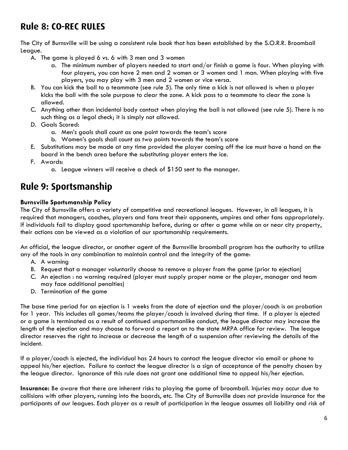## **Rule 8: CO-REC RULES**

The City of Burnsville will be using a consistent rule book that has been established by the S.O.R.R. Broomball League.

- A. The game is played 6 vs. 6 with 3 men and 3 women
	- a. The minimum number of players needed to start and/or finish a game is four. When playing with four players, you can have 2 men and 2 women or 3 women and 1 man. When playing with five players, you may play with 3 men and 2 women or vice versa.
- B. You can kick the ball to a teammate (see rule 5). The only time a kick is not allowed is when a player kicks the ball with the sole purpose to clear the zone. A kick pass to a teammate to clear the zone is allowed.
- C. Anything other than incidental body contact when playing the ball is not allowed (see rule 5). There is no such thing as a legal check; it is simply not allowed.
- D. Goals Scored:
	- a. Men's goals shall count as one point towards the team's score
	- b. Women's goals shall count as two points towards the team's score
- E. Substitutions may be made at any time provided the player coming off the ice must have a hand on the board in the bench area before the substituting player enters the ice.
- F. Awards:
	- a. League winners will receive a check of \$150 sent to the manager.

## **Rule 9: Sportsmanship**

#### **Burnsville Sportsmanship Policy**

The City of Burnsville offers a variety of competitive and recreational leagues. However, in all leagues, it is required that managers, coaches, players and fans treat their opponents, umpires and other fans appropriately. If individuals fail to display good sportsmanship before, during or after a game while on or near city property, their actions can be viewed as a violation of our sportsmanship requirements.

An official, the league director, or another agent of the Burnsville broomball program has the authority to utilize any of the tools in any combination to maintain control and the integrity of the game:

- A. A warning
- B. Request that a manager voluntarily choose to remove a player from the game (prior to ejection)
- C. An ejection : no warning required (player must supply proper name or the player, manager and team may face additional penalties)
- D. Termination of the game

The base time period for an ejection is 1 weeks from the date of ejection and the player/coach is on probation for 1 year. This includes all games/teams the player/coach is involved during that time. If a player is ejected or a game is terminated as a result of continued unsportsmanlike conduct, the league director may increase the length of the ejection and may choose to forward a report on to the state MRPA office for review. The league director reserves the right to increase or decrease the length of a suspension after reviewing the details of the incident.

If a player/coach is ejected, the individual has 24 hours to contact the league director via email or phone to appeal his/her ejection. Failure to contact the league director is a sign of acceptance of the penalty chosen by the league director. Ignorance of this rule does not grant one additional time to appeal his/her ejection.

**Insurance:** Be aware that there are inherent risks to playing the game of broomball. Injuries may occur due to collisions with other players, running into the boards, etc. The City of Burnsville does not provide insurance for the participants of our leagues. Each player as a result of participation in the league assumes all liability and risk of